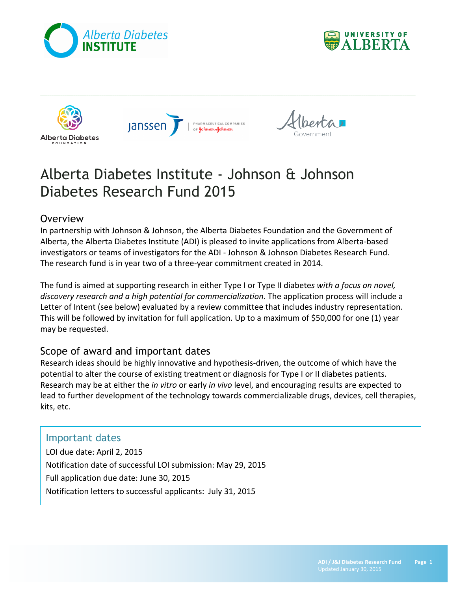









# Alberta Diabetes Institute - Johnson & Johnson Diabetes Research Fund 2015

## **Overview**

In partnership with Johnson & Johnson, the Alberta Diabetes Foundation and the Government of Alberta, the Alberta Diabetes Institute (ADI) is pleased to invite applications from Alberta-based investigators or teams of investigators for the ADI - Johnson & Johnson Diabetes Research Fund. The research fund is in year two of a three-year commitment created in 2014.

The fund is aimed at supporting research in either Type I or Type II diabetes with a focus on novel, *discovery research and a high potential for commercialization*. The application process will include a Letter of Intent (see below) evaluated by a review committee that includes industry representation. This will be followed by invitation for full application. Up to a maximum of \$50,000 for one (1) year may be requested.

## Scope of award and important dates

Research ideas should be highly innovative and hypothesis-driven, the outcome of which have the potential to alter the course of existing treatment or diagnosis for Type I or II diabetes patients. Research may be at either the *in vitro* or early *in vivo* level, and encouraging results are expected to lead to further development of the technology towards commercializable drugs, devices, cell therapies, kits, etc.

## Important dates

LOI due date: April 2, 2015 Notification date of successful LOI submission: May 29, 2015 Full application due date: June 30, 2015 Notification letters to successful applicants: July 31, 2015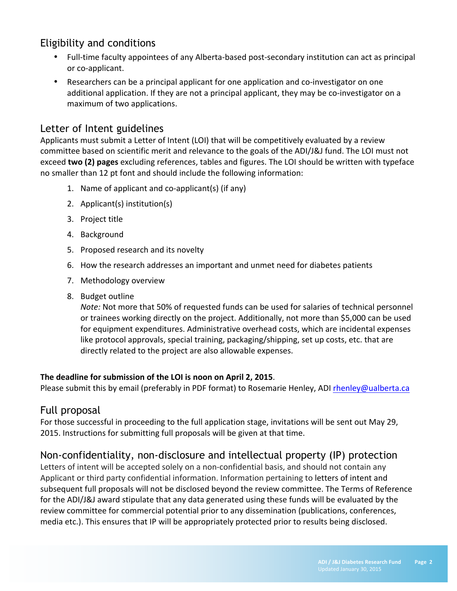# Eligibility and conditions

- Full-time faculty appointees of any Alberta-based post-secondary institution can act as principal or co-applicant.
- Researchers can be a principal applicant for one application and co-investigator on one additional application. If they are not a principal applicant, they may be co-investigator on a maximum of two applications.

## Letter of Intent guidelines

Applicants must submit a Letter of Intent (LOI) that will be competitively evaluated by a review committee based on scientific merit and relevance to the goals of the ADI/J&J fund. The LOI must not exceed **two (2) pages** excluding references, tables and figures. The LOI should be written with typeface no smaller than 12 pt font and should include the following information:

- 1. Name of applicant and co-applicant(s) (if any)
- 2. Applicant(s) institution(s)
- 3. Project title
- 4. Background
- 5. Proposed research and its novelty
- 6. How the research addresses an important and unmet need for diabetes patients
- 7. Methodology overview
- 8. Budget outline

*Note:* Not more that 50% of requested funds can be used for salaries of technical personnel or trainees working directly on the project. Additionally, not more than \$5,000 can be used for equipment expenditures. Administrative overhead costs, which are incidental expenses like protocol approvals, special training, packaging/shipping, set up costs, etc. that are directly related to the project are also allowable expenses.

#### The deadline for submission of the LOI is noon on April 2, 2015.

Please submit this by email (preferably in PDF format) to Rosemarie Henley, ADI rhenley@ualberta.ca

## Full proposal

For those successful in proceeding to the full application stage, invitations will be sent out May 29, 2015. Instructions for submitting full proposals will be given at that time.

## Non-confidentiality, non-disclosure and intellectual property (IP) protection

Letters of intent will be accepted solely on a non-confidential basis, and should not contain any Applicant or third party confidential information. Information pertaining to letters of intent and subsequent full proposals will not be disclosed beyond the review committee. The Terms of Reference for the ADI/J&J award stipulate that any data generated using these funds will be evaluated by the review committee for commercial potential prior to any dissemination (publications, conferences, media etc.). This ensures that IP will be appropriately protected prior to results being disclosed.